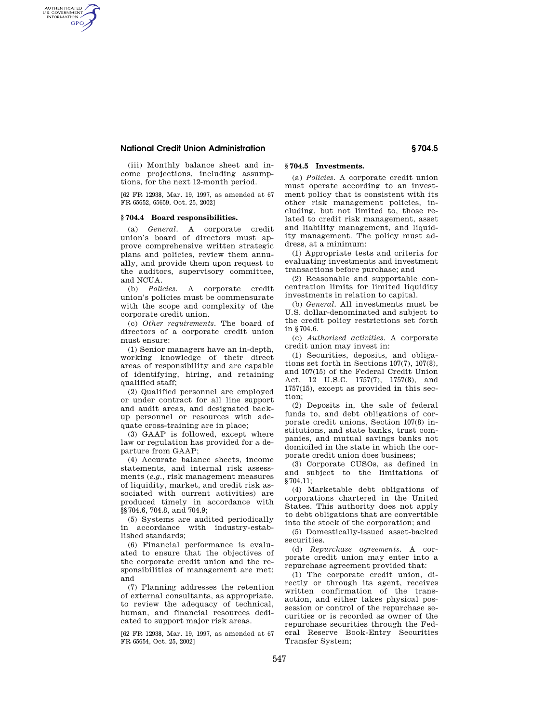## **National Credit Union Administration § 704.5**

(iii) Monthly balance sheet and income projections, including assumptions, for the next 12-month period.

[62 FR 12938, Mar. 19, 1997, as amended at 67 FR 65652, 65659, Oct. 25, 2002]

### **§ 704.4 Board responsibilities.**

AUTHENTICATED<br>U.S. GOVERNMENT<br>INFORMATION GPO

> (a) *General.* A corporate credit union's board of directors must approve comprehensive written strategic plans and policies, review them annually, and provide them upon request to the auditors, supervisory committee, and NCUA.

> (b) *Policies.* A corporate credit union's policies must be commensurate with the scope and complexity of the corporate credit union.

> (c) *Other requirements.* The board of directors of a corporate credit union must ensure:

> (1) Senior managers have an in-depth, working knowledge of their direct areas of responsibility and are capable of identifying, hiring, and retaining qualified staff;

> (2) Qualified personnel are employed or under contract for all line support and audit areas, and designated backup personnel or resources with adequate cross-training are in place;

> (3) GAAP is followed, except where law or regulation has provided for a departure from GAAP;

> (4) Accurate balance sheets, income statements, and internal risk assessments (*e.g.,* risk management measures of liquidity, market, and credit risk associated with current activities) are produced timely in accordance with §§704.6, 704.8, and 704.9;

> (5) Systems are audited periodically in accordance with industry-established standards;

> (6) Financial performance is evaluated to ensure that the objectives of the corporate credit union and the responsibilities of management are met; and

> (7) Planning addresses the retention of external consultants, as appropriate, to review the adequacy of technical, human, and financial resources dedicated to support major risk areas.

> [62 FR 12938, Mar. 19, 1997, as amended at 67 FR 65654, Oct. 25, 2002]

# **§ 704.5 Investments.**

(a) *Policies.* A corporate credit union must operate according to an investment policy that is consistent with its other risk management policies, including, but not limited to, those related to credit risk management, asset and liability management, and liquidity management. The policy must address, at a minimum:

(1) Appropriate tests and criteria for evaluating investments and investment transactions before purchase; and

(2) Reasonable and supportable concentration limits for limited liquidity investments in relation to capital.

(b) *General.* All investments must be U.S. dollar-denominated and subject to the credit policy restrictions set forth in §704.6.

(c) *Authorized activities.* A corporate credit union may invest in:

(1) Securities, deposits, and obligations set forth in Sections 107(7), 107(8), and 107(15) of the Federal Credit Union Act, 12 U.S.C. 1757(7), 1757(8), and 1757(15), except as provided in this section;

(2) Deposits in, the sale of federal funds to, and debt obligations of corporate credit unions, Section 107(8) institutions, and state banks, trust companies, and mutual savings banks not domiciled in the state in which the corporate credit union does business;

(3) Corporate CUSOs, as defined in and subject to the limitations of §704.11;

(4) Marketable debt obligations of corporations chartered in the United States. This authority does not apply to debt obligations that are convertible into the stock of the corporation; and

(5) Domestically-issued asset-backed securities.

(d) *Repurchase agreements.* A corporate credit union may enter into a repurchase agreement provided that:

(1) The corporate credit union, directly or through its agent, receives written confirmation of the transaction, and either takes physical possession or control of the repurchase securities or is recorded as owner of the repurchase securities through the Federal Reserve Book-Entry Securities Transfer System;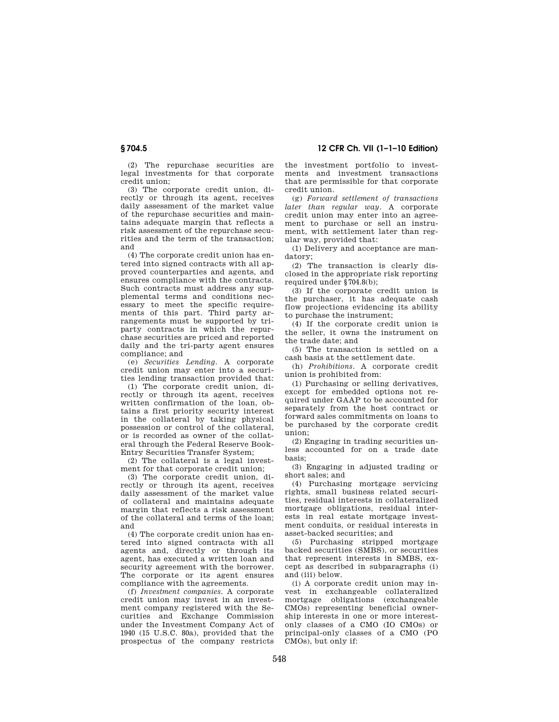(2) The repurchase securities are legal investments for that corporate credit union;

(3) The corporate credit union, directly or through its agent, receives daily assessment of the market value of the repurchase securities and maintains adequate margin that reflects a risk assessment of the repurchase securities and the term of the transaction; and

(4) The corporate credit union has entered into signed contracts with all approved counterparties and agents, and ensures compliance with the contracts. Such contracts must address any supplemental terms and conditions necessary to meet the specific requirements of this part. Third party arrangements must be supported by triparty contracts in which the repurchase securities are priced and reported daily and the tri-party agent ensures compliance; and

(e) *Securities Lending.* A corporate credit union may enter into a securities lending transaction provided that:

(1) The corporate credit union, directly or through its agent, receives written confirmation of the loan, obtains a first priority security interest in the collateral by taking physical possession or control of the collateral, or is recorded as owner of the collateral through the Federal Reserve Book-Entry Securities Transfer System;

 $(2)$  The collateral is a legal investment for that corporate credit union;

(3) The corporate credit union, directly or through its agent, receives daily assessment of the market value of collateral and maintains adequate margin that reflects a risk assessment of the collateral and terms of the loan; and

(4) The corporate credit union has entered into signed contracts with all agents and, directly or through its agent, has executed a written loan and security agreement with the borrower. The corporate or its agent ensures compliance with the agreements.

(f) *Investment companies.* A corporate credit union may invest in an investment company registered with the Securities and Exchange Commission under the Investment Company Act of 1940 (15 U.S.C. 80a), provided that the prospectus of the company restricts

**§ 704.5 12 CFR Ch. VII (1–1–10 Edition)** 

the investment portfolio to investments and investment transactions that are permissible for that corporate credit union.

(g) *Forward settlement of transactions later than regular way.* A corporate credit union may enter into an agreement to purchase or sell an instrument, with settlement later than regular way, provided that:

(1) Delivery and acceptance are mandatory;

(2) The transaction is clearly disclosed in the appropriate risk reporting required under §704.8(b);

(3) If the corporate credit union is the purchaser, it has adequate cash flow projections evidencing its ability to purchase the instrument;

(4) If the corporate credit union is the seller, it owns the instrument on the trade date; and

(5) The transaction is settled on a cash basis at the settlement date.

(h) *Prohibitions.* A corporate credit union is prohibited from:

(1) Purchasing or selling derivatives, except for embedded options not required under GAAP to be accounted for separately from the host contract or forward sales commitments on loans to be purchased by the corporate credit union;

(2) Engaging in trading securities unless accounted for on a trade date basis;

(3) Engaging in adjusted trading or short sales; and

(4) Purchasing mortgage servicing rights, small business related securities, residual interests in collateralized mortgage obligations, residual interests in real estate mortgage investment conduits, or residual interests in asset-backed securities; and

(5) Purchasing stripped mortgage backed securities (SMBS), or securities that represent interests in SMBS, except as described in subparagraphs (i) and (iii) below.

(i) A corporate credit union may invest in exchangeable collateralized mortgage obligations (exchangeable CMOs) representing beneficial ownership interests in one or more interestonly classes of a CMO (IO CMOs) or principal-only classes of a CMO (PO CMOs), but only if: